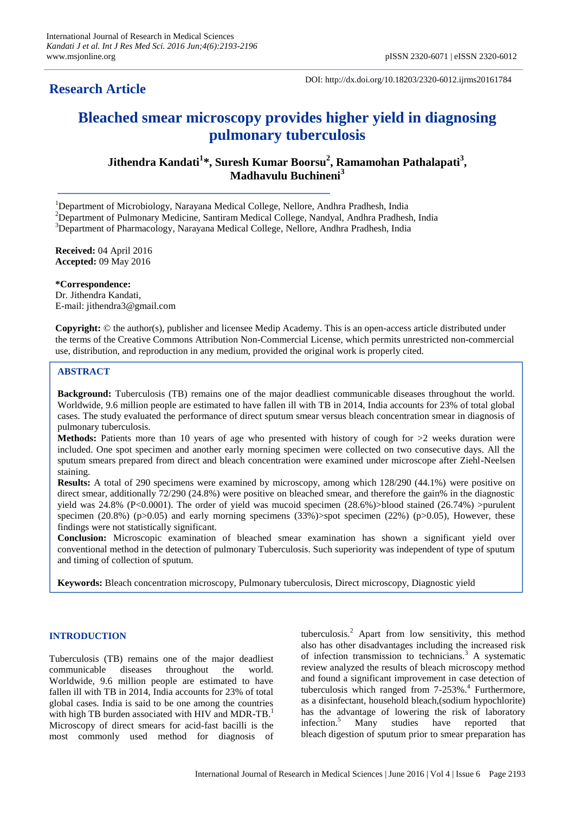## **Research Article**

DOI: http://dx.doi.org/10.18203/2320-6012.ijrms20161784

# **Bleached smear microscopy provides higher yield in diagnosing pulmonary tuberculosis**

**Jithendra Kandati<sup>1</sup> \*, Suresh Kumar Boorsu<sup>2</sup> , Ramamohan Pathalapati<sup>3</sup> , Madhavulu Buchineni<sup>3</sup>**

<sup>1</sup>Department of Microbiology, Narayana Medical College, Nellore, Andhra Pradhesh, India

<sup>2</sup>Department of Pulmonary Medicine, Santiram Medical College, Nandyal, Andhra Pradhesh, India

<sup>3</sup>Department of Pharmacology, Narayana Medical College, Nellore, Andhra Pradhesh, India

**Received:** 04 April 2016 **Accepted:** 09 May 2016

**\*Correspondence:** Dr. Jithendra Kandati, E-mail: jithendra3@gmail.com

**Copyright:** © the author(s), publisher and licensee Medip Academy. This is an open-access article distributed under the terms of the Creative Commons Attribution Non-Commercial License, which permits unrestricted non-commercial use, distribution, and reproduction in any medium, provided the original work is properly cited.

## **ABSTRACT**

**Background:** Tuberculosis (TB) remains one of the major deadliest communicable diseases throughout the world. Worldwide, 9.6 million people are estimated to have fallen ill with TB in 2014, India accounts for 23% of total global cases. The study evaluated the performance of direct sputum smear versus bleach concentration smear in diagnosis of pulmonary tuberculosis.

**Methods:** Patients more than 10 years of age who presented with history of cough for  $>2$  weeks duration were included. One spot specimen and another early morning specimen were collected on two consecutive days. All the sputum smears prepared from direct and bleach concentration were examined under microscope after Ziehl-Neelsen staining.

**Results:** A total of 290 specimens were examined by microscopy, among which 128/290 (44.1%) were positive on direct smear, additionally 72/290 (24.8%) were positive on bleached smear, and therefore the gain% in the diagnostic yield was  $24.8\%$  (P<0.0001). The order of yield was mucoid specimen  $(28.6\%)$ >blood stained  $(26.74\%)$  >purulent specimen (20.8%) ( $p>0.05$ ) and early morning specimens (33%)>spot specimen (22%) ( $p>0.05$ ), However, these findings were not statistically significant.

**Conclusion:** Microscopic examination of bleached smear examination has shown a significant yield over conventional method in the detection of pulmonary Tuberculosis. Such superiority was independent of type of sputum and timing of collection of sputum.

**Keywords:** Bleach concentration microscopy, Pulmonary tuberculosis, Direct microscopy, Diagnostic yield

## **INTRODUCTION**

Tuberculosis (TB) remains one of the major deadliest communicable diseases throughout the world. Worldwide, 9.6 million people are estimated to have fallen ill with TB in 2014, India accounts for 23% of total global cases. India is said to be one among the countries with high TB burden associated with HIV and MDR-TB.<sup>1</sup> Microscopy of direct smears for acid-fast bacilli is the most commonly used method for diagnosis of tuberculosis.<sup>2</sup> Apart from low sensitivity, this method also has other disadvantages including the increased risk of infection transmission to technicians.<sup>3</sup> A systematic review analyzed the results of bleach microscopy method and found a significant improvement in case detection of tuberculosis which ranged from 7-253%.<sup>4</sup> Furthermore, as a disinfectant, household bleach,(sodium hypochlorite) has the advantage of lowering the risk of laboratory infection.<sup>5</sup> Many studies have reported that bleach digestion of sputum prior to smear preparation has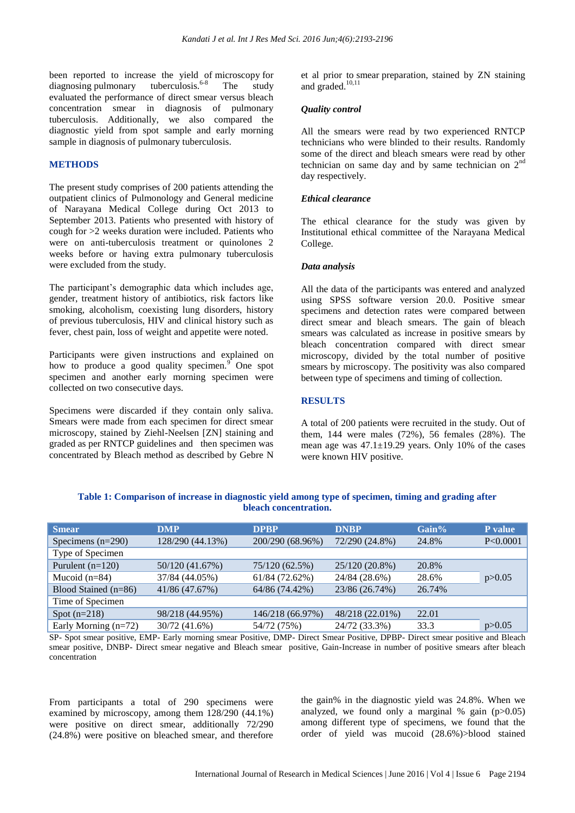been reported to increase the yield of microscopy for diagnosing pulmonary tuberculosis.<sup>6-8</sup> The study evaluated the performance of direct smear versus bleach concentration smear in diagnosis of pulmonary tuberculosis. Additionally, we also compared the diagnostic yield from spot sample and early morning sample in diagnosis of pulmonary tuberculosis.

#### **METHODS**

The present study comprises of 200 patients attending the outpatient clinics of Pulmonology and General medicine of Narayana Medical College during Oct 2013 to September 2013. Patients who presented with history of cough for >2 weeks duration were included. Patients who were on anti-tuberculosis treatment or quinolones 2 weeks before or having extra pulmonary tuberculosis were excluded from the study.

The participant's demographic data which includes age, gender, treatment history of antibiotics, risk factors like smoking, alcoholism, coexisting lung disorders, history of previous tuberculosis, HIV and clinical history such as fever, chest pain, loss of weight and appetite were noted.

Participants were given instructions and explained on how to produce a good quality specimen.<sup>9</sup> One spot specimen and another early morning specimen were collected on two consecutive days.

Specimens were discarded if they contain only saliva. Smears were made from each specimen for direct smear microscopy, stained by Ziehl-Neelsen [ZN] staining and graded as per RNTCP guidelines and then specimen was concentrated by Bleach method as described by Gebre N et al prior to smear preparation, stained by ZN staining and graded.<sup>10,11</sup>

## *Quality control*

All the smears were read by two experienced RNTCP technicians who were blinded to their results. Randomly some of the direct and bleach smears were read by other technician on same day and by same technician on  $2<sup>nd</sup>$ day respectively.

#### *Ethical clearance*

The ethical clearance for the study was given by Institutional ethical committee of the Narayana Medical College.

#### *Data analysis*

All the data of the participants was entered and analyzed using SPSS software version 20.0. Positive smear specimens and detection rates were compared between direct smear and bleach smears. The gain of bleach smears was calculated as increase in positive smears by bleach concentration compared with direct smear microscopy, divided by the total number of positive smears by microscopy. The positivity was also compared between type of specimens and timing of collection.

#### **RESULTS**

A total of 200 patients were recruited in the study. Out of them, 144 were males (72%), 56 females (28%). The mean age was 47.1±19.29 years. Only 10% of the cases were known HIV positive.

| <b>Smear</b>           | <b>DMP</b>       | <b>DPBP</b>      | <b>DNBP</b>     | $Gain\%$ | P value  |
|------------------------|------------------|------------------|-----------------|----------|----------|
| Specimens $(n=290)$    | 128/290 (44.13%) | 200/290 (68.96%) | 72/290 (24.8%)  | 24.8%    | P<0.0001 |
| Type of Specimen       |                  |                  |                 |          |          |
| Purulent $(n=120)$     | 50/120 (41.67%)  | 75/120 (62.5%)   | 25/120 (20.8%)  | 20.8%    |          |
| Mucoid $(n=84)$        | 37/84 (44.05%)   | $61/84$ (72.62%) | 24/84 (28.6%)   | 28.6%    | p > 0.05 |
| Blood Stained (n=86)   | 41/86 (47.67%)   | 64/86 (74.42%)   | 23/86 (26.74%)  | 26.74%   |          |
| Time of Specimen       |                  |                  |                 |          |          |
| Spot $(n=218)$         | 98/218 (44.95%)  | 146/218 (66.97%) | 48/218 (22.01%) | 22.01    |          |
| Early Morning $(n=72)$ | 30/72 (41.6%)    | 54/72 (75%)      | 24/72 (33.3%)   | 33.3     | p > 0.05 |

**Table 1: Comparison of increase in diagnostic yield among type of specimen, timing and grading after bleach concentration.**

SP- Spot smear positive, EMP- Early morning smear Positive, DMP- Direct Smear Positive, DPBP- Direct smear positive and Bleach smear positive, DNBP- Direct smear negative and Bleach smear positive, Gain-Increase in number of positive smears after bleach concentration

From participants a total of 290 specimens were examined by microscopy, among them 128/290 (44.1%) were positive on direct smear, additionally 72/290 (24.8%) were positive on bleached smear, and therefore the gain% in the diagnostic yield was 24.8%. When we analyzed, we found only a marginal  $%$  gain (p $>0.05$ ) among different type of specimens, we found that the order of yield was mucoid (28.6%)>blood stained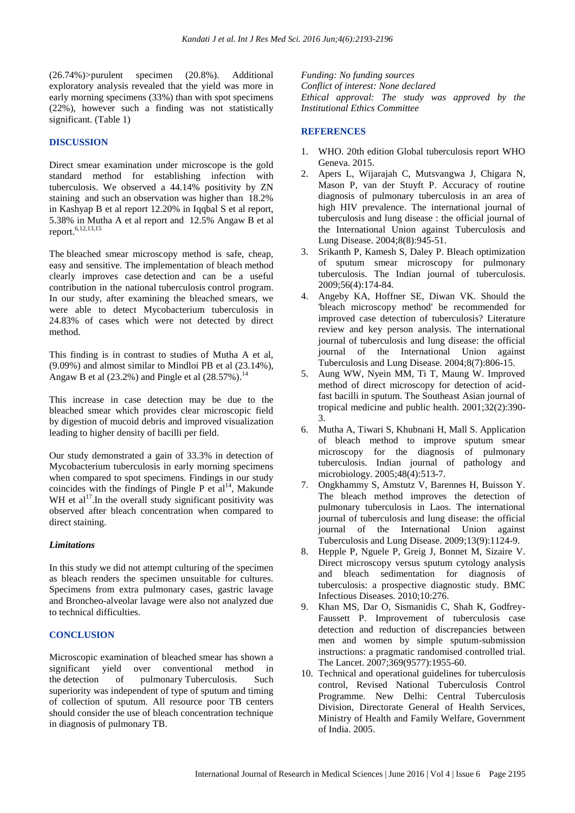(26.74%)>purulent specimen (20.8%). Additional exploratory analysis revealed that the yield was more in early morning specimens (33%) than with spot specimens (22%), however such a finding was not statistically significant. (Table 1)

## **DISCUSSION**

Direct smear examination under microscope is the gold standard method for establishing infection with tuberculosis. We observed a 44.14% positivity by ZN staining and such an observation was higher than 18.2% in Kashyap B et al report 12.20% in Iqqbal S et al report, 5.38% in Mutha A et al report and 12.5% Angaw B et al report.6,12,13,15

The bleached smear microscopy method is safe, cheap, easy and sensitive. The implementation of bleach method clearly improves case detection and can be a useful contribution in the national tuberculosis control program. In our study, after examining the bleached smears, we were able to detect Mycobacterium tuberculosis in 24.83% of cases which were not detected by direct method.

This finding is in contrast to studies of Mutha A et al, (9.09%) and almost similar to Mindloi PB et al (23.14%), Angaw B et al  $(23.2\%)$  and Pingle et al  $(28.57\%)$ .<sup>14</sup>

This increase in case detection may be due to the bleached smear which provides clear microscopic field by digestion of mucoid debris and improved visualization leading to higher density of bacilli per field.

Our study demonstrated a gain of 33.3% in detection of Mycobacterium tuberculosis in early morning specimens when compared to spot specimens. Findings in our study coincides with the findings of Pingle P et  $al<sup>14</sup>$ , Makunde WH et  $al<sup>17</sup>$ . In the overall study significant positivity was observed after bleach concentration when compared to direct staining.

## *Limitations*

In this study we did not attempt culturing of the specimen as bleach renders the specimen unsuitable for cultures. Specimens from extra pulmonary cases, gastric lavage and Broncheo-alveolar lavage were also not analyzed due to technical difficulties.

#### **CONCLUSION**

Microscopic examination of bleached smear has shown a significant yield over conventional method in the detection of pulmonary Tuberculosis. Such superiority was independent of type of sputum and timing of collection of sputum. All resource poor TB centers should consider the use of bleach concentration technique in diagnosis of pulmonary TB.

*Funding: No funding sources Conflict of interest: None declared Ethical approval: The study was approved by the Institutional Ethics Committee*

## **REFERENCES**

- 1. WHO. 20th edition Global tuberculosis report WHO Geneva. 2015.
- 2. Apers L, Wijarajah C, Mutsvangwa J, Chigara N, Mason P, van der Stuyft P. Accuracy of routine diagnosis of pulmonary tuberculosis in an area of high HIV prevalence. The international journal of tuberculosis and lung disease : the official journal of the International Union against Tuberculosis and Lung Disease. 2004;8(8):945-51.
- 3. Srikanth P, Kamesh S, Daley P. Bleach optimization of sputum smear microscopy for pulmonary tuberculosis. The Indian journal of tuberculosis. 2009;56(4):174-84.
- 4. Angeby KA, Hoffner SE, Diwan VK. Should the 'bleach microscopy method' be recommended for improved case detection of tuberculosis? Literature review and key person analysis. The international journal of tuberculosis and lung disease: the official journal of the International Union against Tuberculosis and Lung Disease. 2004;8(7):806-15.
- 5. Aung WW, Nyein MM, Ti T, Maung W. Improved method of direct microscopy for detection of acidfast bacilli in sputum. The Southeast Asian journal of tropical medicine and public health. 2001;32(2):390- 3.
- 6. Mutha A, Tiwari S, Khubnani H, Mall S. Application of bleach method to improve sputum smear microscopy for the diagnosis of pulmonary tuberculosis. Indian journal of pathology and microbiology. 2005;48(4):513-7.
- 7. Ongkhammy S, Amstutz V, Barennes H, Buisson Y. The bleach method improves the detection of pulmonary tuberculosis in Laos. The international journal of tuberculosis and lung disease: the official journal of the International Union against Tuberculosis and Lung Disease. 2009;13(9):1124-9.
- 8. Hepple P, Nguele P, Greig J, Bonnet M, Sizaire V. Direct microscopy versus sputum cytology analysis and bleach sedimentation for diagnosis of tuberculosis: a prospective diagnostic study. BMC Infectious Diseases. 2010;10:276.
- 9. Khan MS, Dar O, Sismanidis C, Shah K, Godfrey-Faussett P. Improvement of tuberculosis case detection and reduction of discrepancies between men and women by simple sputum-submission instructions: a pragmatic randomised controlled trial. The Lancet. 2007;369(9577):1955-60.
- 10. Technical and operational guidelines for tuberculosis control, Revised National Tuberculosis Control Programme. New Delhi: Central Tuberculosis Division, Directorate General of Health Services, Ministry of Health and Family Welfare, Government of India. 2005.